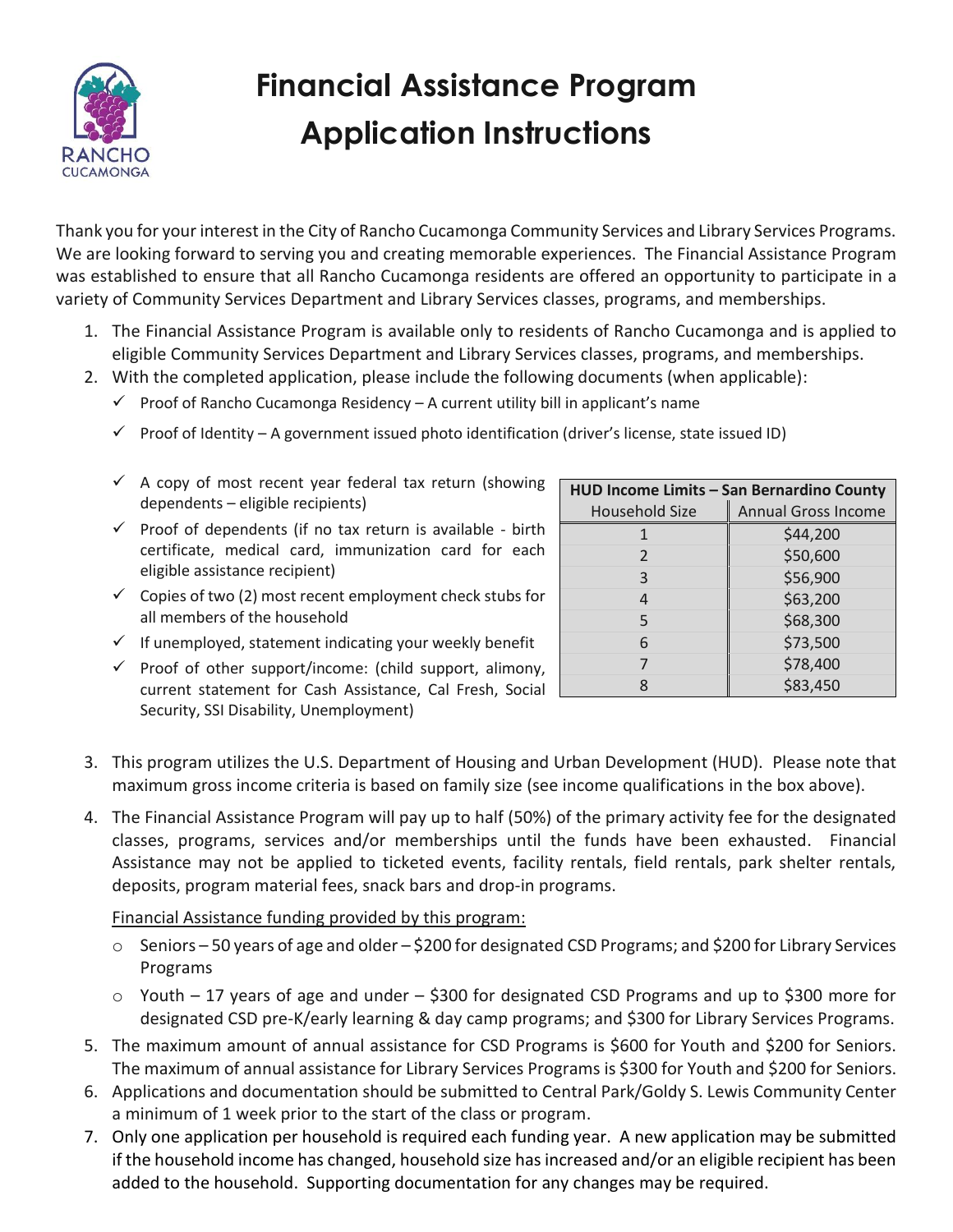

# **Financial Assistance Program Application Instructions**

Thank you for your interest in the City of Rancho Cucamonga Community Services and Library Services Programs. We are looking forward to serving you and creating memorable experiences. The Financial Assistance Program was established to ensure that all Rancho Cucamonga residents are offered an opportunity to participate in a variety of Community Services Department and Library Services classes, programs, and memberships.

- 1. The Financial Assistance Program is available only to residents of Rancho Cucamonga and is applied to eligible Community Services Department and Library Services classes, programs, and memberships.
- 2. With the completed application, please include the following documents (when applicable):
	- $\checkmark$  Proof of Rancho Cucamonga Residency A current utility bill in applicant's name
	- $\checkmark$  Proof of Identity A government issued photo identification (driver's license, state issued ID)
	- $\checkmark$  A copy of most recent year federal tax return (showing dependents – eligible recipients)
	- $\checkmark$  Proof of dependents (if no tax return is available birth certificate, medical card, immunization card for each eligible assistance recipient)
	- $\checkmark$  Copies of two (2) most recent employment check stubs for all members of the household

| HUD Income Limits - San Bernardino County |                            |  |  |  |
|-------------------------------------------|----------------------------|--|--|--|
| Household Size                            | <b>Annual Gross Income</b> |  |  |  |
|                                           | \$44,200                   |  |  |  |
| $\overline{2}$                            | \$50,600                   |  |  |  |
| 3                                         | \$56,900                   |  |  |  |
| 4                                         | \$63,200                   |  |  |  |
| 5                                         | \$68,300                   |  |  |  |
| 6                                         | \$73,500                   |  |  |  |
|                                           | \$78,400                   |  |  |  |
|                                           | \$83,450                   |  |  |  |

- $\checkmark$  If unemployed, statement indicating your weekly benefit
- $\checkmark$  Proof of other support/income: (child support, alimony, current statement for Cash Assistance, Cal Fresh, Social Security, SSI Disability, Unemployment)
- 3. This program utilizes the U.S. Department of Housing and Urban Development (HUD). Please note that maximum gross income criteria is based on family size (see income qualifications in the box above).
- 4. The Financial Assistance Program will pay up to half (50%) of the primary activity fee for the designated classes, programs, services and/or memberships until the funds have been exhausted. Financial Assistance may not be applied to ticketed events, facility rentals, field rentals, park shelter rentals, deposits, program material fees, snack bars and drop-in programs.

Financial Assistance funding provided by this program:

- $\circ$  Seniors 50 years of age and older \$200 for designated CSD Programs; and \$200 for Library Services Programs
- $\circ$  Youth 17 years of age and under \$300 for designated CSD Programs and up to \$300 more for designated CSD pre-K/early learning & day camp programs; and \$300 for Library Services Programs.
- 5. The maximum amount of annual assistance for CSD Programs is \$600 for Youth and \$200 for Seniors. The maximum of annual assistance for Library Services Programs is \$300 for Youth and \$200 for Seniors.
- 6. Applications and documentation should be submitted to Central Park/Goldy S. Lewis Community Center a minimum of 1 week prior to the start of the class or program.
- 7. Only one application per household is required each funding year. A new application may be submitted if the household income has changed, household size has increased and/or an eligible recipient has been added to the household. Supporting documentation for any changes may be required.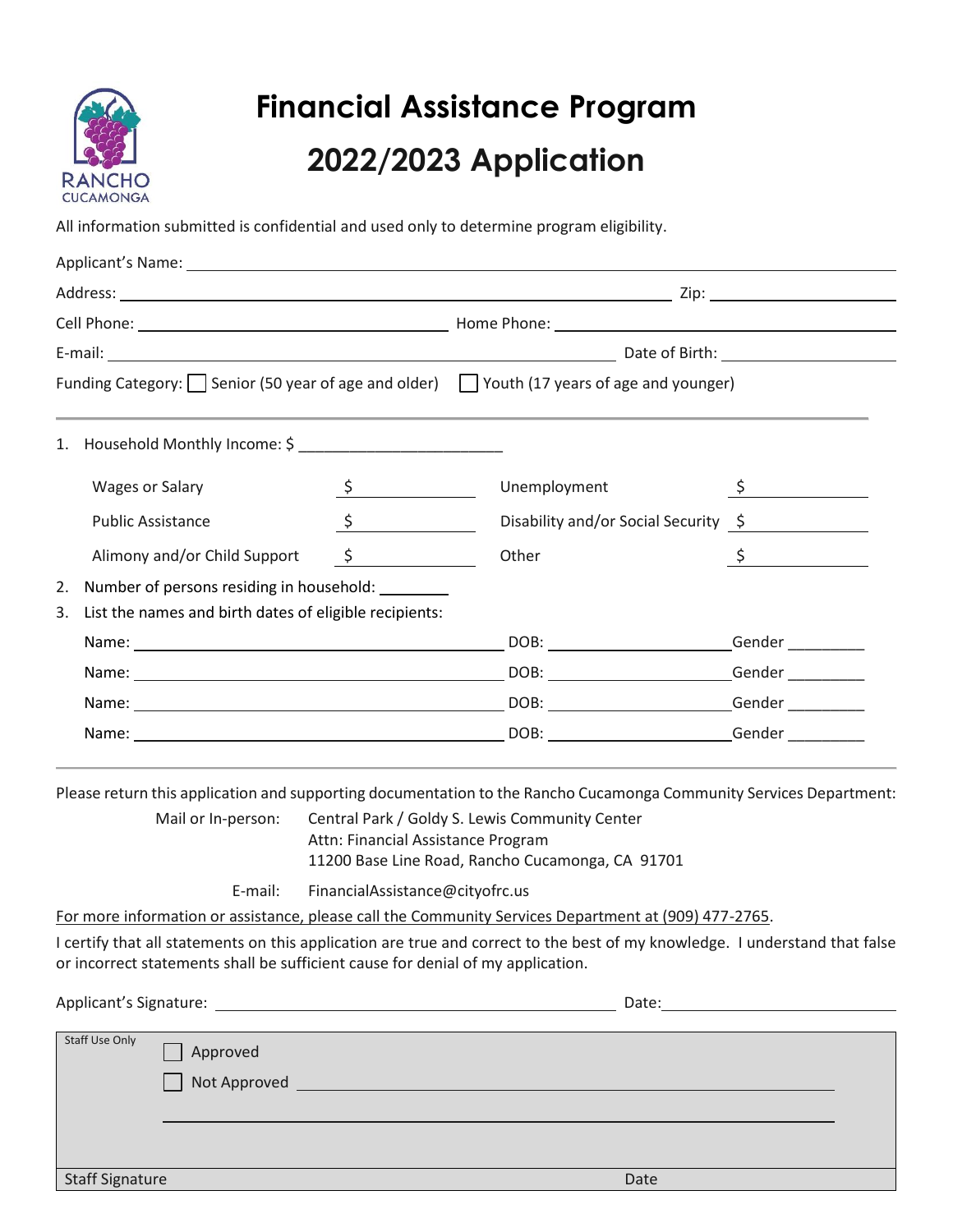

# **Financial Assistance Program 2022/2023 Application**

All information submitted is confidential and used only to determine program eligibility.

|                                                              | Wages or Salary                                   | $\frac{\mathsf{S}}{\mathsf{S}}$ | Unemployment                         | $\int$ $\frac{1}{\sqrt{1-\frac{1}{2}}\sqrt{1-\frac{1}{2}}\sqrt{1-\frac{1}{2}}\sqrt{1-\frac{1}{2}}\sqrt{1-\frac{1}{2}}\sqrt{1-\frac{1}{2}}\sqrt{1-\frac{1}{2}}\sqrt{1-\frac{1}{2}}\sqrt{1-\frac{1}{2}}\sqrt{1-\frac{1}{2}}\sqrt{1-\frac{1}{2}}\sqrt{1-\frac{1}{2}}\sqrt{1-\frac{1}{2}}\sqrt{1-\frac{1}{2}}\sqrt{1-\frac{1}{2}}\sqrt{1-\frac{1}{2}}\sqrt{1-\frac{1}{2}}\sqrt{1-\frac{1}{2}}\sqrt{1-\frac{1}{2}}\$ |  |
|--------------------------------------------------------------|---------------------------------------------------|---------------------------------|--------------------------------------|-----------------------------------------------------------------------------------------------------------------------------------------------------------------------------------------------------------------------------------------------------------------------------------------------------------------------------------------------------------------------------------------------------------------|--|
|                                                              | <b>Public Assistance</b>                          | $\frac{1}{2}$                   | Disability and/or Social Security \$ |                                                                                                                                                                                                                                                                                                                                                                                                                 |  |
|                                                              | Alimony and/or Child Support                      | $\frac{1}{2}$                   | Other                                | $\int$                                                                                                                                                                                                                                                                                                                                                                                                          |  |
| 2.                                                           | Number of persons residing in household: ________ |                                 |                                      |                                                                                                                                                                                                                                                                                                                                                                                                                 |  |
| List the names and birth dates of eligible recipients:<br>3. |                                                   |                                 |                                      |                                                                                                                                                                                                                                                                                                                                                                                                                 |  |
|                                                              |                                                   |                                 |                                      |                                                                                                                                                                                                                                                                                                                                                                                                                 |  |
|                                                              |                                                   |                                 |                                      |                                                                                                                                                                                                                                                                                                                                                                                                                 |  |
|                                                              |                                                   |                                 |                                      |                                                                                                                                                                                                                                                                                                                                                                                                                 |  |
|                                                              |                                                   |                                 |                                      |                                                                                                                                                                                                                                                                                                                                                                                                                 |  |

Please return this application and supporting documentation to the Rancho Cucamonga Community Services Department:

Mail or In-person: Central Park / Goldy S. Lewis Community Center Attn: Financial Assistance Program 11200 Base Line Road, Rancho Cucamonga, CA 91701

E-mail: FinancialAssistance@cityofrc.us

For more information or assistance, please call the Community Services Department at (909) 477-2765.

I certify that all statements on this application are true and correct to the best of my knowledge. I understand that false or incorrect statements shall be sufficient cause for denial of my application.

Applicant's Signature: Date:

| Staff Use Only         | Approved<br>Not Approved |      |
|------------------------|--------------------------|------|
| <b>Staff Signature</b> |                          | Date |